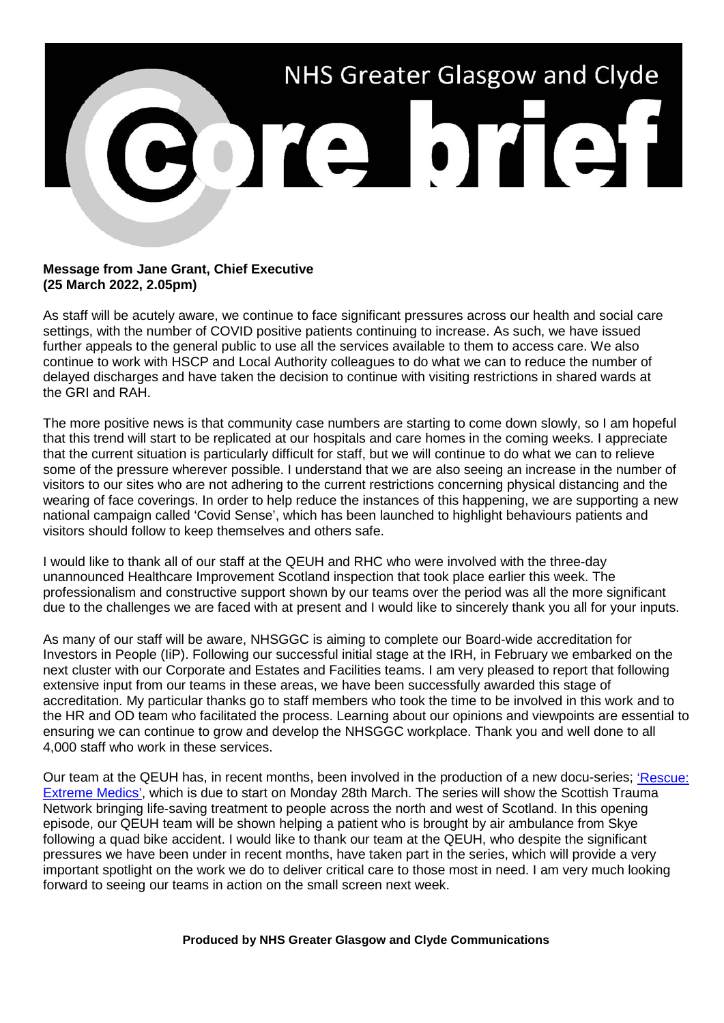

## **Message from Jane Grant, Chief Executive (25 March 2022, 2.05pm)**

As staff will be acutely aware, we continue to face significant pressures across our health and social care settings, with the number of COVID positive patients continuing to increase. As such, we have issued further appeals to the general public to use all the services available to them to access care. We also continue to work with HSCP and Local Authority colleagues to do what we can to reduce the number of delayed discharges and have taken the decision to continue with visiting restrictions in shared wards at the GRI and RAH.

The more positive news is that community case numbers are starting to come down slowly, so I am hopeful that this trend will start to be replicated at our hospitals and care homes in the coming weeks. I appreciate that the current situation is particularly difficult for staff, but we will continue to do what we can to relieve some of the pressure wherever possible. I understand that we are also seeing an increase in the number of visitors to our sites who are not adhering to the current restrictions concerning physical distancing and the wearing of face coverings. In order to help reduce the instances of this happening, we are supporting a new national campaign called 'Covid Sense', which has been launched to highlight behaviours patients and visitors should follow to keep themselves and others safe.

I would like to thank all of our staff at the QEUH and RHC who were involved with the three-day unannounced Healthcare Improvement Scotland inspection that took place earlier this week. The professionalism and constructive support shown by our teams over the period was all the more significant due to the challenges we are faced with at present and I would like to sincerely thank you all for your inputs.

As many of our staff will be aware, NHSGGC is aiming to complete our Board-wide accreditation for Investors in People (IiP). Following our successful initial stage at the IRH, in February we embarked on the next cluster with our Corporate and Estates and Facilities teams. I am very pleased to report that following extensive input from our teams in these areas, we have been successfully awarded this stage of accreditation. My particular thanks go to staff members who took the time to be involved in this work and to the HR and OD team who facilitated the process. Learning about our opinions and viewpoints are essential to ensuring we can continue to grow and develop the NHSGGC workplace. Thank you and well done to all 4,000 staff who work in these services.

Our team at the QEUH has, in recent months, been involved in the production of a new docu-series; ['Rescue:](https://youtu.be/vQglFtqIi1M)  [Extreme Medics',](https://youtu.be/vQglFtqIi1M) which is due to start on Monday 28th March. The series will show the Scottish Trauma Network bringing life-saving treatment to people across the north and west of Scotland. In this opening episode, our QEUH team will be shown helping a patient who is brought by air ambulance from Skye following a quad bike accident. I would like to thank our team at the QEUH, who despite the significant pressures we have been under in recent months, have taken part in the series, which will provide a very important spotlight on the work we do to deliver critical care to those most in need. I am very much looking forward to seeing our teams in action on the small screen next week.

## **Produced by NHS Greater Glasgow and Clyde Communications**